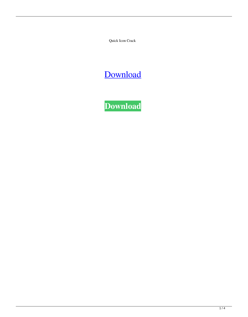Quick Icon Crack

# [Download](http://evacdir.com/casse/give/UXVpY2sgSWNvbgUXV.ffwc.kaliningrad=ZG93bmxvYWR8Z083TnpjemNIeDhNVFkxTkRRek5qWTFPSHg4TWpVNU1IeDhLRTBwSUZkdmNtUndjbVZ6Y3lCYldFMU1VbEJESUZZeUlGQkVSbDA.marne.legitimize)

**[Download](http://evacdir.com/casse/give/UXVpY2sgSWNvbgUXV.ffwc.kaliningrad=ZG93bmxvYWR8Z083TnpjemNIeDhNVFkxTkRRek5qWTFPSHg4TWpVNU1IeDhLRTBwSUZkdmNtUndjbVZ6Y3lCYldFMU1VbEJESUZZeUlGQkVSbDA.marne.legitimize)**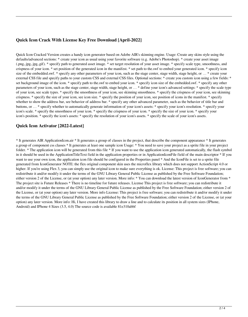# **Quick Icon Crack With License Key Free Download [April-2022]**

Quick Icon Cracked Version creates a handy icon generator based on Adobe AIR's skinning engine. Usage: Create any skins style using the defaults/advanced sections: \* create your icon as usual using your favorite software (e.g. Adobe's Photoshop). \* create your asset image (.png,.jpg,.jpg,.gif). \* specify path to generated asset image. \* set target resolution of your asset image. \* specify scale type, smoothness, and crispness of your icon. \* set position of the generated icon in the manifest. \* set path to the.swf to embed your generated icon. \* specify icon size of the embedded.swf. \* specify any other parameters of your icon, such as the stage center, stage width, stage height, or ... \* create your external CSS file and specify paths to your custom CSS and external CSS files. Optional sections: \* create you custom icon using a few fields: \* set background image of the icon. \* specify path to the.swf to embed your icon. \* specify icon size of the embedded.swf. \* specify any other parameters of your icon, such as the stage center, stage width, stage height, or … \* define your icon's advanced settings: \* specify the scale type of your icon, see scale types. \* specify the smoothness of your icon, see skinning smoothness. \* specify the crispness of your icon, see skinning crispness. \* specify the size of your icon, see icon size. \* specify the position of your icon, see position of icons in the manifest. \* specify whether to show the address bar, see behavior of address bar. \* specify any other advanced parameter, such as the behavior of title bar and buttons, or … \* specify whether to automatically generate information of your icon's assets: \* specify your icon's resolution. \* specify your icon's scale. \* specify the smoothness of your icon. \* specify the crispness of your icon. \* specify the size of your icon. \* specify your icon's position. \* specify the icon's assets: \* specify the resolution of your icon's assets. \* specify the scale of your icon's assets.

# **Quick Icon Activator [2022-Latest]**

\* It generates AIR ApplicationIcon.air \* It generates a group of classes in the project, that describe the component appearance \* It generates a group of component css classes \* It generates at least one sample icon Usage: \* You need to save your project as a sprite file in your project folder. \* The application icon will be generated from this file \* If you want to use the application icon generated automatically, the flash symbol in it should be used in the ApplicationTitleText field in the application properties or in ApplicationIconFile field of the main descriptor \* If you want to use your own icon, the application icon file should be configured in the Properties panel \* And the IconFile is set to a sprite file generated from IconGenerator NOTE: the flex original component skin uses the microflex library which does not support ActionScript 4.0 or higher. If you're using Flex 3, you can simply use the original icon to make sure everything is ok. License: This project is free software; you can redistribute it and/or modify it under the terms of the GNU Library General Public License as published by the Free Software Foundation; either version 2 of the License, or (at your option) any later version. More info: \* You can download the latest version of IconGenerator from \* The project site is Future Releases \* There is no timeline for future releases. License This project is free software; you can redistribute it and/or modify it under the terms of the GNU Library General Public License as published by the Free Software Foundation; either version 2 of the License, or (at your option) any later version. More info License: This project is free software; you can redistribute it and/or modify it under the terms of the GNU Library General Public License as published by the Free Software Foundation; either version 2 of the License, or (at your option) any later version. More info: Hi, I have created this library to draw a line and to calculate its position in all system sizes (IPhone, Android) and IPhone 4 Sizes (3.5, 4.0) The source code is available 81e310abbf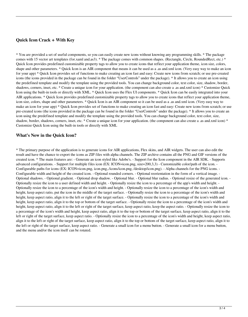### **Quick Icon Crack + With Key**

\* You are provided a set of useful components, so you can easily create new icons without knowing any programming skills. \* The package comes with 15 vector art templates (for.xaml and.as3). \* The package comes with common shapes. (Rectangle, Circle, RoundedRect, etc.) \* Quick Icon provides predefined customizable property tags to allow you to create icons that reflect your application theme, icon size, colors, shape and other parameters. \* Quick Icon is an AIR component that means it can be used as a .as and.xml icon. (Very easy way to make an icon for your app) \* Quick Icon provides set of functions to make creating an icon fast and easy: Create new icons from scratch; or use pre-created icons (the icons provided in the package can be found in the folder "UserControls" under the package). \* It allows you to create an icon using the predefined template and modify the template using the provided tools. You can change background color, text color, size, shadow, border, shadows, corners, inset, etc. \* Create a unique icon for your application. (the component can also create a .as and.xml icon) \* Customize Quick Icon using the built-in tools or directly with XML. \* Quick Icon uses the Flex UI components. \* Quick Icon can be easily integrated into your AIR applications. \* Quick Icon provides predefined customizable property tags to allow you to create icons that reflect your application theme, icon size, colors, shape and other parameters. \* Quick Icon is an AIR component so it can be used as a .as and.xml icon. (Very easy way to make an icon for your app) \* Quick Icon provides set of functions to make creating an icon fast and easy: Create new icons from scratch; or use pre-created icons (the icons provided in the package can be found in the folder "UserControls" under the package). \* It allows you to create an icon using the predefined template and modify the template using the provided tools. You can change background color, text color, size, shadow, border, shadows, corners, inset, etc. \* Create a unique icon for your application. (the component can also create a .as and.xml icon) \* Customize Quick Icon using the built-in tools or directly with XML

#### **What's New in the Quick Icon?**

\* The primary purpose of the application is to generate icons for AIR applications, Flex skins, and AIR widgets. The user can also edit the result and have the chance to export the icons as ZIP files with alpha channels. The ZIP archive contains all the PNG and GIF versions of the created icon. \* The main features are: - Generate an icon styled like Adobe's. - Support for the Icon component in the AIR SDK. - Supports advanced configurations. - Support for multiple files icon (EX: ICON=icon.png, size=200,3,3) - Customizable color/path of the icon. - Configurable paths for icons (EX: ICON=icon.png, icon.png,./icons/icon.png, /desktop/icon.png). - Alpha channels for the PNG icons. - Configurable width and height of the created icon. - Optional rounded corners. - Optional reorientation in the form of a vertical image. - Optional shadows. - Optional gradient. - Optional drop shadow. - Optional blur. - Optional blur radius. - Optional resize of the generated icon. - Optionally resize the icon to a user defined width and height. - Optionally resize the icon to a percentage of the app's width and height. - Optionally resize the icon to a percentage of the icon's width and height. - Optionally resize the icon to a percentage of the icon's width and height, keep aspect ratio, put the icon in the middle of the target surface. - Optionally resize the icon to a percentage of the icon's width and height, keep aspect ratio, align it to the left or right of the target surface. - Optionally resize the icon to a percentage of the icon's width and height, keep aspect ratio, align it to the top or bottom of the target surface. - Optionally resize the icon to a percentage of the icon's width and height, keep aspect ratio, align it to the left or right of the target surface, keep aspect ratio, keep the aspect ratio. - Optionally resize the icon to a percentage of the icon's width and height, keep aspect ratio, align it to the top or bottom of the target surface, keep aspect ratio, align it to the left or right of the target surface, keep aspect ratio. - Optionally resize the icon to a percentage of the icon's width and height, keep aspect ratio, align it to the left or right of the target surface, keep aspect ratio, align it to the top or bottom of the target surface, keep aspect ratio, align it to the left or right of the target surface, keep aspect ratio. - Generate a small icon for a menu button. - Generate a small icon for a menu button, and the menu and/or the icon itself can be rotated.